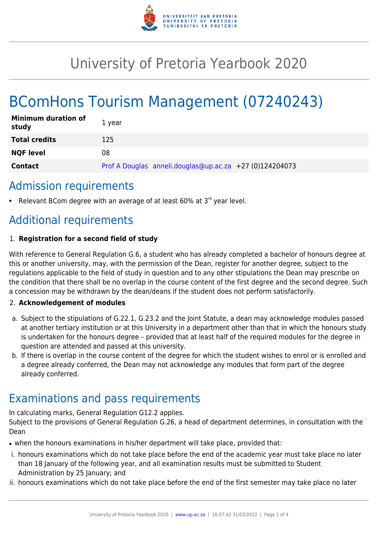

# University of Pretoria Yearbook 2020

# BComHons Tourism Management (07240243)

| <b>Minimum duration of</b><br>study | 1 vear                                                  |
|-------------------------------------|---------------------------------------------------------|
| <b>Total credits</b>                | 125                                                     |
| <b>NQF level</b>                    | 08                                                      |
| <b>Contact</b>                      | Prof A Douglas anneli.douglas@up.ac.za +27 (0)124204073 |

## Admission requirements

Relevant BCom degree with an average of at least  $60\%$  at  $3<sup>rd</sup>$  year level.

# Additional requirements

### 1. **Registration for a second field of study**

With reference to General Regulation G.6, a student who has already completed a bachelor of honours degree at this or another university, may, with the permission of the Dean, register for another degree, subject to the regulations applicable to the field of study in question and to any other stipulations the Dean may prescribe on the condition that there shall be no overlap in the course content of the first degree and the second degree. Such a concession may be withdrawn by the dean/deans if the student does not perform satisfactorily.

### 2. **Acknowledgement of modules**

- a. Subject to the stipulations of G.22.1, G.23.2 and the Joint Statute, a dean may acknowledge modules passed at another tertiary institution or at this University in a department other than that in which the honours study is undertaken for the honours degree – provided that at least half of the required modules for the degree in question are attended and passed at this university.
- b. If there is overlap in the course content of the degree for which the student wishes to enrol or is enrolled and a degree already conferred, the Dean may not acknowledge any modules that form part of the degree already conferred.

# Examinations and pass requirements

In calculating marks, General Regulation G12.2 applies.

Subject to the provisions of General Regulation G.26, a head of department determines, in consultation with the Dean

- when the honours examinations in his/her department will take place, provided that:
- i. honours examinations which do not take place before the end of the academic year must take place no later than 18 January of the following year, and all examination results must be submitted to Student Administration by 25 January; and
- ii. honours examinations which do not take place before the end of the first semester may take place no later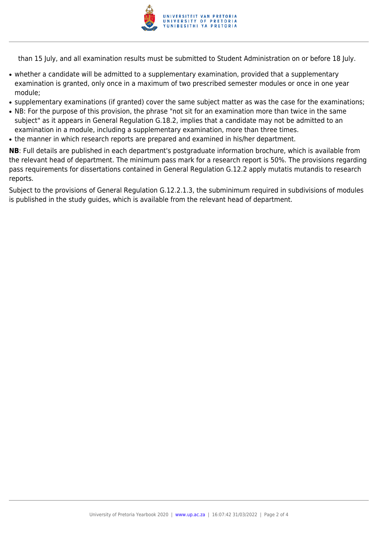

than 15 July, and all examination results must be submitted to Student Administration on or before 18 July.

- whether a candidate will be admitted to a supplementary examination, provided that a supplementary examination is granted, only once in a maximum of two prescribed semester modules or once in one year module;
- supplementary examinations (if granted) cover the same subject matter as was the case for the examinations;
- NB: For the purpose of this provision, the phrase "not sit for an examination more than twice in the same subject" as it appears in General Regulation G.18.2, implies that a candidate may not be admitted to an examination in a module, including a supplementary examination, more than three times.
- the manner in which research reports are prepared and examined in his/her department.

**NB**: Full details are published in each department's postgraduate information brochure, which is available from the relevant head of department. The minimum pass mark for a research report is 50%. The provisions regarding pass requirements for dissertations contained in General Regulation G.12.2 apply mutatis mutandis to research reports.

Subject to the provisions of General Regulation G.12.2.1.3, the subminimum required in subdivisions of modules is published in the study guides, which is available from the relevant head of department.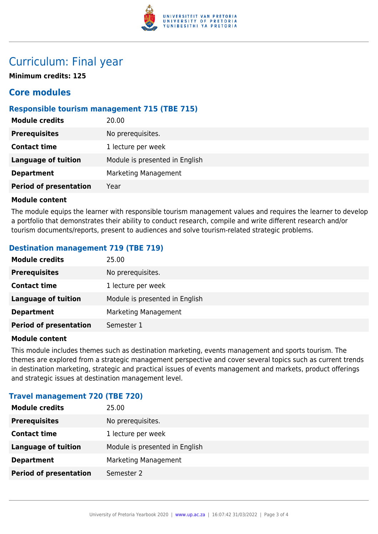

## Curriculum: Final year

**Minimum credits: 125**

### **Core modules**

### **Responsible tourism management 715 (TBE 715)**

| 20.00                          |
|--------------------------------|
| No prerequisites.              |
| 1 lecture per week             |
| Module is presented in English |
| Marketing Management           |
| Year                           |
|                                |

#### **Module content**

The module equips the learner with responsible tourism management values and requires the learner to develop a portfolio that demonstrates their ability to conduct research, compile and write different research and/or tourism documents/reports, present to audiences and solve tourism-related strategic problems.

### **Destination management 719 (TBE 719)**

| <b>Module credits</b>         | 25.00                          |
|-------------------------------|--------------------------------|
| <b>Prerequisites</b>          | No prerequisites.              |
| <b>Contact time</b>           | 1 lecture per week             |
| <b>Language of tuition</b>    | Module is presented in English |
| <b>Department</b>             | Marketing Management           |
| <b>Period of presentation</b> | Semester 1                     |

#### **Module content**

This module includes themes such as destination marketing, events management and sports tourism. The themes are explored from a strategic management perspective and cover several topics such as current trends in destination marketing, strategic and practical issues of events management and markets, product offerings and strategic issues at destination management level.

### **Travel management 720 (TBE 720)**

| 25.00                          |
|--------------------------------|
| No prerequisites.              |
| 1 lecture per week             |
| Module is presented in English |
| Marketing Management           |
| Semester 2                     |
|                                |